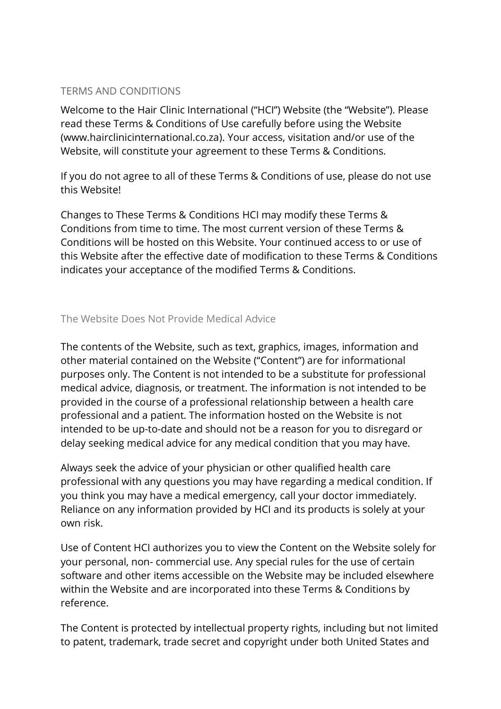## TERMS AND CONDITIONS

Welcome to the Hair Clinic International ("HCI") Website (the "Website"). Please read these Terms & Conditions of Use carefully before using the Website (www.hairclinicinternational.co.za). Your access, visitation and/or use of the Website, will constitute your agreement to these Terms & Conditions.

If you do not agree to all of these Terms & Conditions of use, please do not use this Website!

Changes to These Terms & Conditions HCI may modify these Terms & Conditions from time to time. The most current version of these Terms & Conditions will be hosted on this Website. Your continued access to or use of this Website after the effective date of modification to these Terms & Conditions indicates your acceptance of the modified Terms & Conditions.

# The Website Does Not Provide Medical Advice

The contents of the Website, such as text, graphics, images, information and other material contained on the Website ("Content") are for informational purposes only. The Content is not intended to be a substitute for professional medical advice, diagnosis, or treatment. The information is not intended to be provided in the course of a professional relationship between a health care professional and a patient. The information hosted on the Website is not intended to be up-to-date and should not be a reason for you to disregard or delay seeking medical advice for any medical condition that you may have.

Always seek the advice of your physician or other qualified health care professional with any questions you may have regarding a medical condition. If you think you may have a medical emergency, call your doctor immediately. Reliance on any information provided by HCI and its products is solely at your own risk.

Use of Content HCI authorizes you to view the Content on the Website solely for your personal, non- commercial use. Any special rules for the use of certain software and other items accessible on the Website may be included elsewhere within the Website and are incorporated into these Terms & Conditions by reference.

The Content is protected by intellectual property rights, including but not limited to patent, trademark, trade secret and copyright under both United States and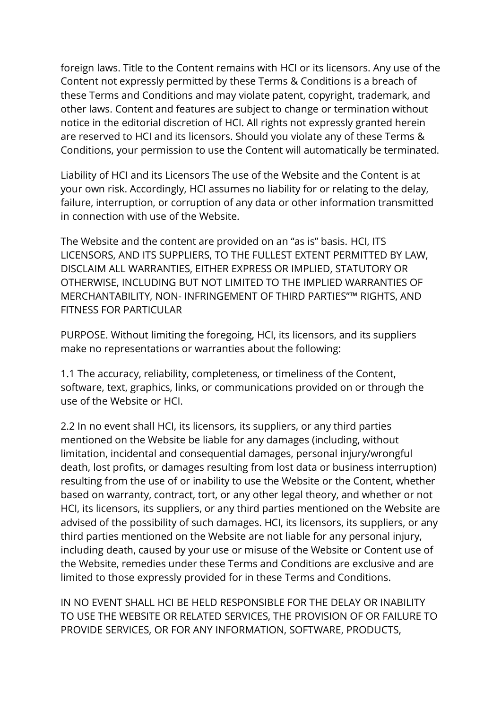foreign laws. Title to the Content remains with HCI or its licensors. Any use of the Content not expressly permitted by these Terms & Conditions is a breach of these Terms and Conditions and may violate patent, copyright, trademark, and other laws. Content and features are subject to change or termination without notice in the editorial discretion of HCI. All rights not expressly granted herein are reserved to HCI and its licensors. Should you violate any of these Terms & Conditions, your permission to use the Content will automatically be terminated.

Liability of HCI and its Licensors The use of the Website and the Content is at your own risk. Accordingly, HCI assumes no liability for or relating to the delay, failure, interruption, or corruption of any data or other information transmitted in connection with use of the Website.

The Website and the content are provided on an "as is" basis. HCI, ITS LICENSORS, AND ITS SUPPLIERS, TO THE FULLEST EXTENT PERMITTED BY LAW, DISCLAIM ALL WARRANTIES, EITHER EXPRESS OR IMPLIED, STATUTORY OR OTHERWISE, INCLUDING BUT NOT LIMITED TO THE IMPLIED WARRANTIES OF MERCHANTABILITY, NON- INFRINGEMENT OF THIRD PARTIES"™ RIGHTS, AND FITNESS FOR PARTICULAR

PURPOSE. Without limiting the foregoing, HCI, its licensors, and its suppliers make no representations or warranties about the following:

1.1 The accuracy, reliability, completeness, or timeliness of the Content, software, text, graphics, links, or communications provided on or through the use of the Website or HCI.

2.2 In no event shall HCI, its licensors, its suppliers, or any third parties mentioned on the Website be liable for any damages (including, without limitation, incidental and consequential damages, personal injury/wrongful death, lost profits, or damages resulting from lost data or business interruption) resulting from the use of or inability to use the Website or the Content, whether based on warranty, contract, tort, or any other legal theory, and whether or not HCI, its licensors, its suppliers, or any third parties mentioned on the Website are advised of the possibility of such damages. HCI, its licensors, its suppliers, or any third parties mentioned on the Website are not liable for any personal injury, including death, caused by your use or misuse of the Website or Content use of the Website, remedies under these Terms and Conditions are exclusive and are limited to those expressly provided for in these Terms and Conditions.

IN NO EVENT SHALL HCI BE HELD RESPONSIBLE FOR THE DELAY OR INABILITY TO USE THE WEBSITE OR RELATED SERVICES, THE PROVISION OF OR FAILURE TO PROVIDE SERVICES, OR FOR ANY INFORMATION, SOFTWARE, PRODUCTS,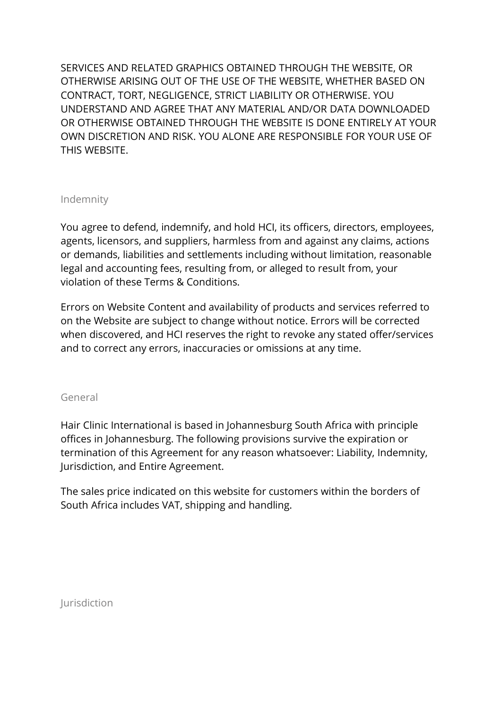SERVICES AND RELATED GRAPHICS OBTAINED THROUGH THE WEBSITE, OR OTHERWISE ARISING OUT OF THE USE OF THE WEBSITE, WHETHER BASED ON CONTRACT, TORT, NEGLIGENCE, STRICT LIABILITY OR OTHERWISE. YOU UNDERSTAND AND AGREE THAT ANY MATERIAL AND/OR DATA DOWNLOADED OR OTHERWISE OBTAINED THROUGH THE WEBSITE IS DONE ENTIRELY AT YOUR OWN DISCRETION AND RISK. YOU ALONE ARE RESPONSIBLE FOR YOUR USE OF THIS WEBSITE.

### Indemnity

You agree to defend, indemnify, and hold HCI, its officers, directors, employees, agents, licensors, and suppliers, harmless from and against any claims, actions or demands, liabilities and settlements including without limitation, reasonable legal and accounting fees, resulting from, or alleged to result from, your violation of these Terms & Conditions.

Errors on Website Content and availability of products and services referred to on the Website are subject to change without notice. Errors will be corrected when discovered, and HCI reserves the right to revoke any stated offer/services and to correct any errors, inaccuracies or omissions at any time.

### General

Hair Clinic International is based in Johannesburg South Africa with principle offices in Johannesburg. The following provisions survive the expiration or termination of this Agreement for any reason whatsoever: Liability, Indemnity, Jurisdiction, and Entire Agreement.

The sales price indicated on this website for customers within the borders of South Africa includes VAT, shipping and handling.

Jurisdiction